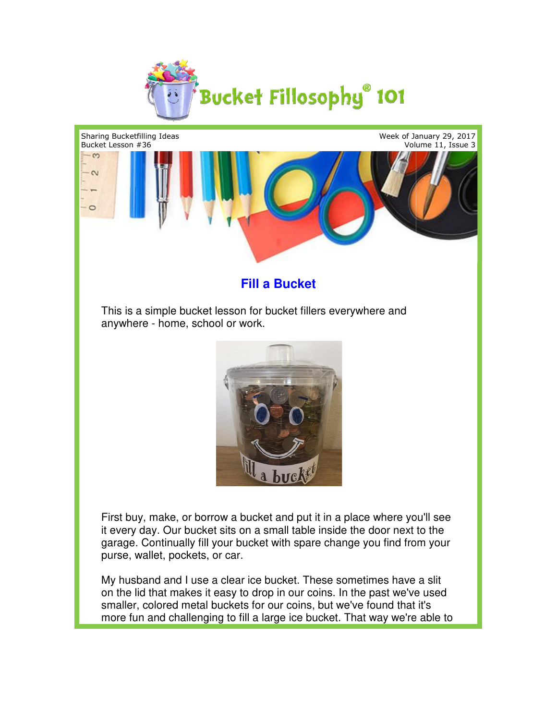



## **Fill a Bucket**

This is a simple bucket lesson for bucket fillers everywhere and anywhere - home, school or work. work.



First buy, make, or borrow a bucket and put it in a place where you'll see First buy, make, or borrow a bucket and put it in a place where you'll sed<br>it every day. Our bucket sits on a small table inside the door next to the garage. Continually fill your bucket with spare change you find from your<br>purse, wallet, pockets, or car. purse, wallet, pockets, or car.

My husband and I use a clear ice bucket. These sometimes have a slit My husband and I use a clear ice bucket. These sometimes have a slit<br>on the lid that makes it easy to drop in our coins. In the past we've used smaller, colored metal buckets for our coins, but we've found that it's more fun and challenging to fill a large ice bucket. That way we're able to